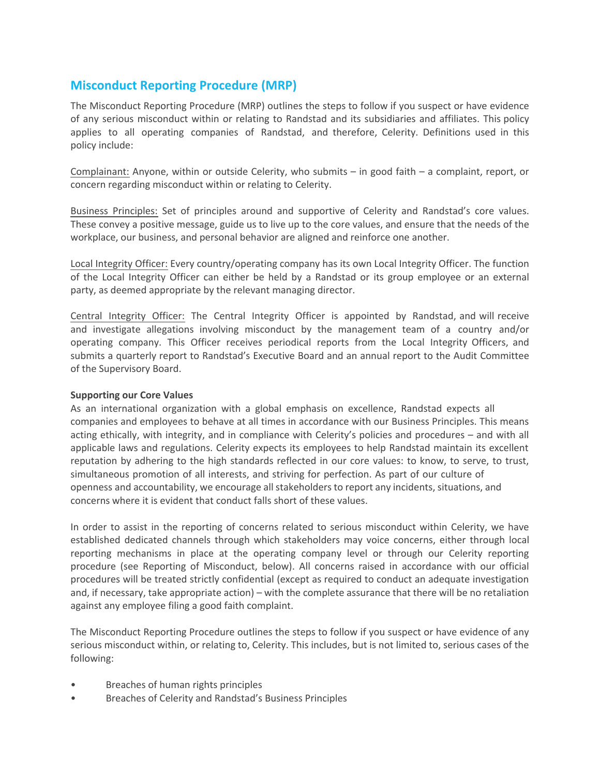# **Misconduct Reporting Procedure (MRP)**

The Misconduct Reporting Procedure (MRP) outlines the steps to follow if you suspect or have evidence of any serious misconduct within or relating to Randstad and its subsidiaries and affiliates. This policy applies to all operating companies of Randstad, and therefore, Celerity. Definitions used in this policy include:

Complainant: Anyone, within or outside Celerity, who submits – in good faith – a complaint, report, or concern regarding misconduct within or relating to Celerity.

Business Principles: Set of principles around and supportive of Celerity and Randstad's core values. These convey a positive message, guide us to live up to the core values, and ensure that the needs of the workplace, our business, and personal behavior are aligned and reinforce one another.

Local Integrity Officer: Every country/operating company has its own Local Integrity Officer. The function of the Local Integrity Officer can either be held by a Randstad or its group employee or an external party, as deemed appropriate by the relevant managing director.

Central Integrity Officer: The Central Integrity Officer is appointed by Randstad, and will receive and investigate allegations involving misconduct by the management team of a country and/or operating company. This Officer receives periodical reports from the Local Integrity Officers, and submits a quarterly report to Randstad's Executive Board and an annual report to the Audit Committee of the Supervisory Board.

# **Supporting our Core Values**

As an international organization with a global emphasis on excellence, Randstad expects all companies and employees to behave at all times in accordance with our Business Principles. This means acting ethically, with integrity, and in compliance with Celerity's policies and procedures – and with all applicable laws and regulations. Celerity expects its employees to help Randstad maintain its excellent reputation by adhering to the high standards reflected in our core values: to know, to serve, to trust, simultaneous promotion of all interests, and striving for perfection. As part of our culture of openness and accountability, we encourage all stakeholders to report any incidents, situations, and concerns where it is evident that conduct falls short of these values.

In order to assist in the reporting of concerns related to serious misconduct within Celerity, we have established dedicated channels through which stakeholders may voice concerns, either through local reporting mechanisms in place at the operating company level or through our Celerity reporting procedure (see Reporting of Misconduct, below). All concerns raised in accordance with our official procedures will be treated strictly confidential (except as required to conduct an adequate investigation and, if necessary, take appropriate action) – with the complete assurance that there will be no retaliation against any employee filing a good faith complaint.

The Misconduct Reporting Procedure outlines the steps to follow if you suspect or have evidence of any serious misconduct within, or relating to, Celerity. This includes, but is not limited to, serious cases of the following:

- Breaches of human rights principles
- Breaches of Celerity and Randstad's Business Principles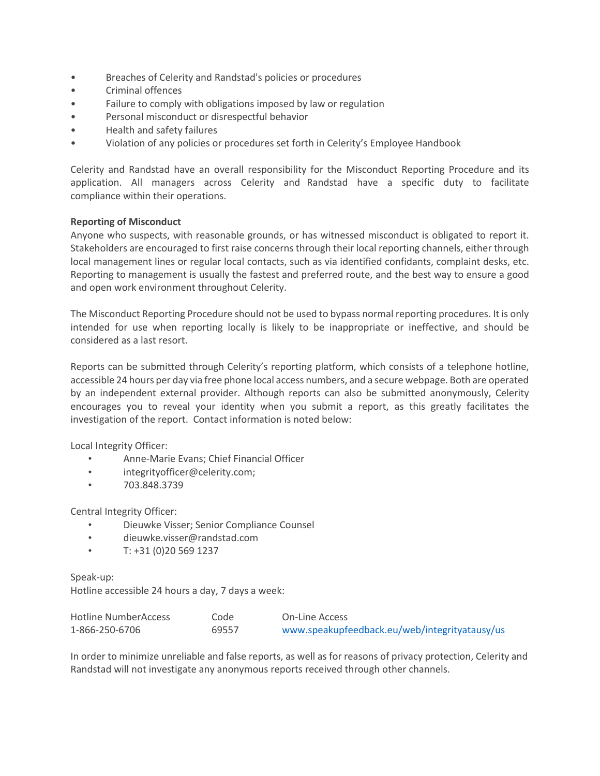- Breaches of Celerity and Randstad's policies or procedures
- Criminal offences
- Failure to comply with obligations imposed by law or regulation
- Personal misconduct or disrespectful behavior
- Health and safety failures
- Violation of any policies or procedures set forth in Celerity's Employee Handbook

Celerity and Randstad have an overall responsibility for the Misconduct Reporting Procedure and its application. All managers across Celerity and Randstad have a specific duty to facilitate compliance within their operations.

### **Reporting of Misconduct**

Anyone who suspects, with reasonable grounds, or has witnessed misconduct is obligated to report it. Stakeholders are encouraged to first raise concerns through their local reporting channels, either through local management lines or regular local contacts, such as via identified confidants, complaint desks, etc. Reporting to management is usually the fastest and preferred route, and the best way to ensure a good and open work environment throughout Celerity.

The Misconduct Reporting Procedure should not be used to bypass normal reporting procedures. It is only intended for use when reporting locally is likely to be inappropriate or ineffective, and should be considered as a last resort.

Reports can be submitted through Celerity's reporting platform, which consists of a telephone hotline, accessible 24 hours per day via free phone local access numbers, and a secure webpage. Both are operated by an independent external provider. Although reports can also be submitted anonymously, Celerity encourages you to reveal your identity when you submit a report, as this greatly facilitates the investigation of the report. Contact information is noted below:

Local Integrity Officer:

- Anne-Marie Evans; Chief Financial Officer
- integrityofficer@celerity.com;
- 703.848.3739

Central Integrity Officer:

- Dieuwke Visser; Senior Compliance Counsel
- dieuwke.visser@randstad.com
- $T: +31(0)205691237$

Speak-up: Hotline accessible 24 hours a day, 7 days a week:

 $H_{\text{c}}$ 

| Hotline NumberAccess | code  | On-Line Access                                |
|----------------------|-------|-----------------------------------------------|
| 1-866-250-6706       | 69557 | www.speakupfeedback.eu/web/integrityatausy/us |

In order to minimize unreliable and false reports, as well as for reasons of privacy protection, Celerity and Randstad will not investigate any anonymous reports received through other channels.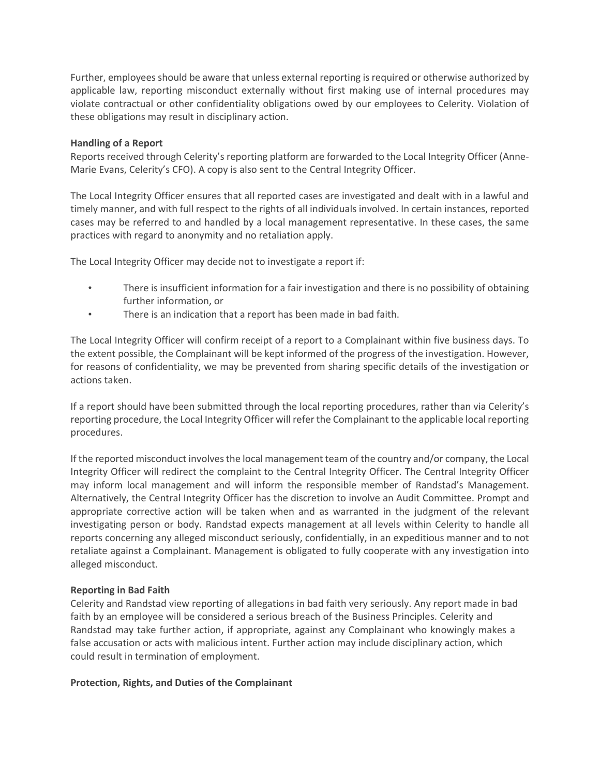Further, employees should be aware that unless external reporting is required or otherwise authorized by applicable law, reporting misconduct externally without first making use of internal procedures may violate contractual or other confidentiality obligations owed by our employees to Celerity. Violation of these obligations may result in disciplinary action.

# **Handling of a Report**

Reports received through Celerity's reporting platform are forwarded to the Local Integrity Officer (Anne-Marie Evans, Celerity's CFO). A copy is also sent to the Central Integrity Officer.

The Local Integrity Officer ensures that all reported cases are investigated and dealt with in a lawful and timely manner, and with full respect to the rights of all individuals involved. In certain instances, reported cases may be referred to and handled by a local management representative. In these cases, the same practices with regard to anonymity and no retaliation apply.

The Local Integrity Officer may decide not to investigate a report if:

- There is insufficient information for a fair investigation and there is no possibility of obtaining further information, or
- There is an indication that a report has been made in bad faith.

The Local Integrity Officer will confirm receipt of a report to a Complainant within five business days. To the extent possible, the Complainant will be kept informed of the progress of the investigation. However, for reasons of confidentiality, we may be prevented from sharing specific details of the investigation or actions taken.

If a report should have been submitted through the local reporting procedures, rather than via Celerity's reporting procedure, the Local Integrity Officer will refer the Complainant to the applicable local reporting procedures.

If the reported misconduct involves the local management team of the country and/or company, the Local Integrity Officer will redirect the complaint to the Central Integrity Officer. The Central Integrity Officer may inform local management and will inform the responsible member of Randstad's Management. Alternatively, the Central Integrity Officer has the discretion to involve an Audit Committee. Prompt and appropriate corrective action will be taken when and as warranted in the judgment of the relevant investigating person or body. Randstad expects management at all levels within Celerity to handle all reports concerning any alleged misconduct seriously, confidentially, in an expeditious manner and to not retaliate against a Complainant. Management is obligated to fully cooperate with any investigation into alleged misconduct.

# **Reporting in Bad Faith**

Celerity and Randstad view reporting of allegations in bad faith very seriously. Any report made in bad faith by an employee will be considered a serious breach of the Business Principles. Celerity and Randstad may take further action, if appropriate, against any Complainant who knowingly makes a false accusation or acts with malicious intent. Further action may include disciplinary action, which could result in termination of employment.

# **Protection, Rights, and Duties of the Complainant**